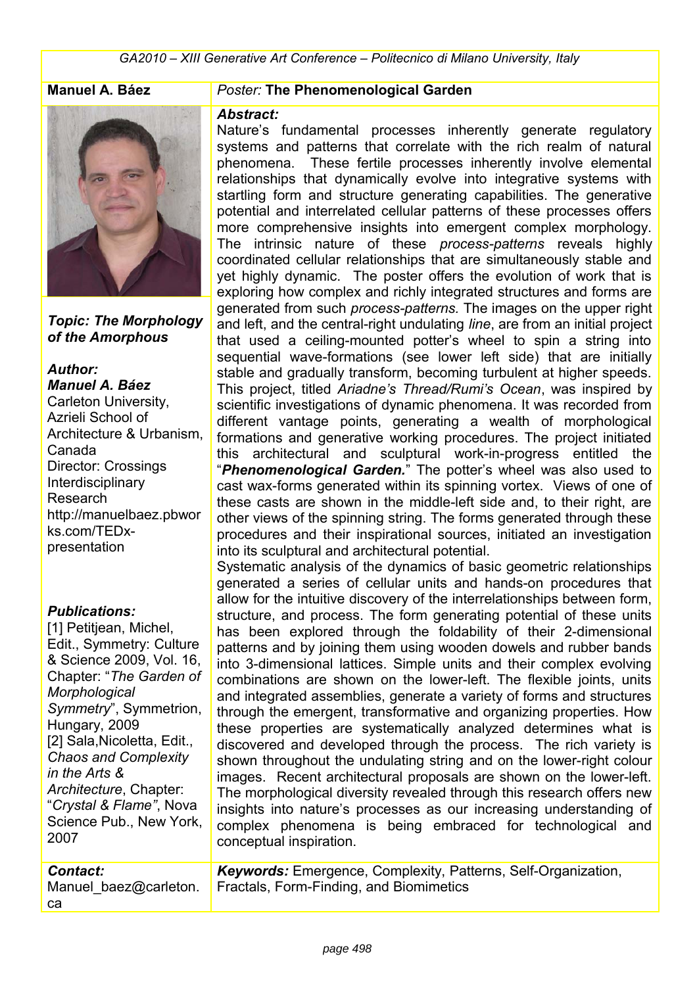

*Topic: The Morphology of the Amorphous*

## *Author:*

*Manuel A. Báez* Carleton University, Azrieli School of Architecture & Urbanism, Canada Director: Crossings Interdisciplinary Research http://manuelbaez.pbwor ks.com/TEDxpresentation

#### *Publications:*

[1] Petitjean, Michel, Edit., Symmetry: Culture & Science 2009, Vol. 16, Chapter: "*The Garden of Morphological Symmetry*", Symmetrion, Hungary, 2009 [2] Sala,Nicoletta, Edit., *Chaos and Complexity in the Arts & Architecture*, Chapter: "*Crystal & Flame"*, Nova Science Pub., New York, 2007

## *Contact:*

Manuel baez@carleton. ca

## **Manuel A. Báez** *Poster:* **The Phenomenological Garden**

#### *Abstract:*

Nature's fundamental processes inherently generate regulatory systems and patterns that correlate with the rich realm of natural phenomena. These fertile processes inherently involve elemental relationships that dynamically evolve into integrative systems with startling form and structure generating capabilities. The generative potential and interrelated cellular patterns of these processes offers more comprehensive insights into emergent complex morphology. The intrinsic nature of these *process-patterns* reveals highly coordinated cellular relationships that are simultaneously stable and yet highly dynamic. The poster offers the evolution of work that is exploring how complex and richly integrated structures and forms are generated from such *process-patterns.* The images on the upper right and left, and the central-right undulating *line*, are from an initial project that used a ceiling-mounted potter's wheel to spin a string into sequential wave-formations (see lower left side) that are initially stable and gradually transform, becoming turbulent at higher speeds. This project, titled *Ariadne's Thread/Rumi's Ocean*, was inspired by scientific investigations of dynamic phenomena. It was recorded from different vantage points, generating a wealth of morphological formations and generative working procedures. The project initiated this architectural and sculptural work-in-progress entitled the "*Phenomenological Garden.*" The potter's wheel was also used to cast wax-forms generated within its spinning vortex. Views of one of these casts are shown in the middle-left side and, to their right, are other views of the spinning string. The forms generated through these procedures and their inspirational sources, initiated an investigation into its sculptural and architectural potential.

Systematic analysis of the dynamics of basic geometric relationships generated a series of cellular units and hands-on procedures that allow for the intuitive discovery of the interrelationships between form, structure, and process. The form generating potential of these units has been explored through the foldability of their 2-dimensional patterns and by joining them using wooden dowels and rubber bands into 3-dimensional lattices. Simple units and their complex evolving combinations are shown on the lower-left. The flexible joints, units and integrated assemblies, generate a variety of forms and structures through the emergent, transformative and organizing properties. How these properties are systematically analyzed determines what is discovered and developed through the process. The rich variety is shown throughout the undulating string and on the lower-right colour images. Recent architectural proposals are shown on the lower-left. The morphological diversity revealed through this research offers new insights into nature's processes as our increasing understanding of complex phenomena is being embraced for technological and conceptual inspiration.

*Keywords:* Emergence, Complexity, Patterns, Self-Organization, Fractals, Form-Finding, and Biomimetics